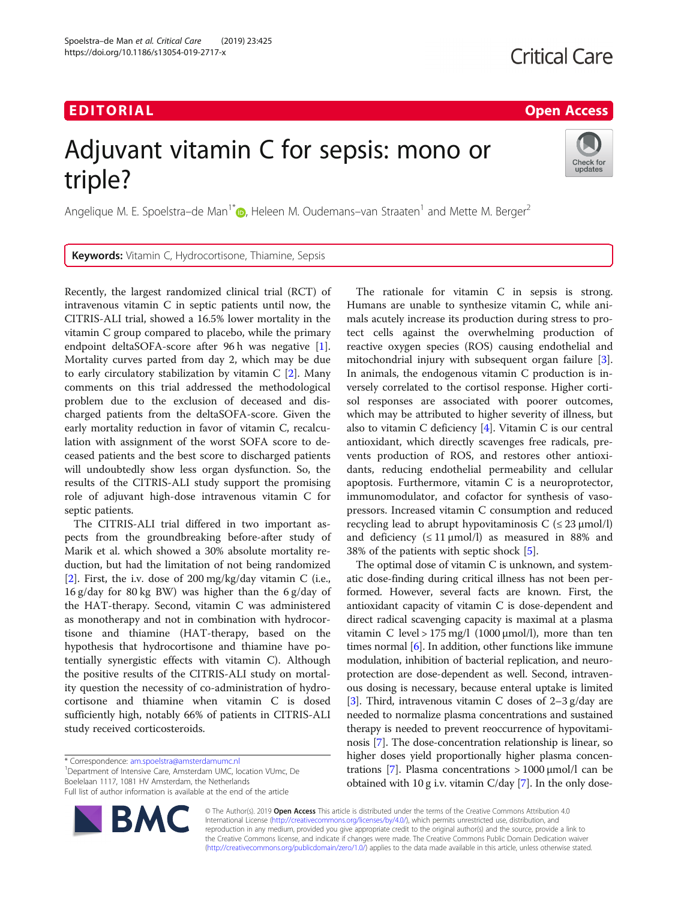# EDI TORIA L Open Access

Check for updates

# Adjuvant vitamin C for sepsis: mono or triple?

Angelique M. E. Spoelstra–de Man<sup>1[\\*](http://orcid.org/0000-0001-8738-8295)</sup> $\odot$ , Heleen M. Oudemans–van Straaten<sup>1</sup> and Mette M. Berger<sup>2</sup>

Keywords: Vitamin C, Hydrocortisone, Thiamine, Sepsis

Recently, the largest randomized clinical trial (RCT) of intravenous vitamin C in septic patients until now, the CITRIS-ALI trial, showed a 16.5% lower mortality in the vitamin C group compared to placebo, while the primary endpoint deltaSOFA-score after 96 h was negative [\[1](#page-1-0)]. Mortality curves parted from day 2, which may be due to early circulatory stabilization by vitamin C [\[2](#page-1-0)]. Many comments on this trial addressed the methodological problem due to the exclusion of deceased and discharged patients from the deltaSOFA-score. Given the early mortality reduction in favor of vitamin C, recalculation with assignment of the worst SOFA score to deceased patients and the best score to discharged patients will undoubtedly show less organ dysfunction. So, the results of the CITRIS-ALI study support the promising role of adjuvant high-dose intravenous vitamin C for septic patients.

The CITRIS-ALI trial differed in two important aspects from the groundbreaking before-after study of Marik et al. which showed a 30% absolute mortality reduction, but had the limitation of not being randomized [[2\]](#page-1-0). First, the i.v. dose of 200 mg/kg/day vitamin C (i.e., 16 g/day for 80 kg BW) was higher than the 6 g/day of the HAT-therapy. Second, vitamin C was administered as monotherapy and not in combination with hydrocortisone and thiamine (HAT-therapy, based on the hypothesis that hydrocortisone and thiamine have potentially synergistic effects with vitamin C). Although the positive results of the CITRIS-ALI study on mortality question the necessity of co-administration of hydrocortisone and thiamine when vitamin C is dosed sufficiently high, notably 66% of patients in CITRIS-ALI study received corticosteroids.

<sup>1</sup>Department of Intensive Care, Amsterdam UMC, location VUmc, De Boelelaan 1117, 1081 HV Amsterdam, the Netherlands Full list of author information is available at the end of the article

The rationale for vitamin C in sepsis is strong. Humans are unable to synthesize vitamin C, while animals acutely increase its production during stress to protect cells against the overwhelming production of reactive oxygen species (ROS) causing endothelial and mitochondrial injury with subsequent organ failure [\[3](#page-1-0)]. In animals, the endogenous vitamin C production is inversely correlated to the cortisol response. Higher cortisol responses are associated with poorer outcomes, which may be attributed to higher severity of illness, but also to vitamin C deficiency [\[4](#page-1-0)]. Vitamin C is our central antioxidant, which directly scavenges free radicals, prevents production of ROS, and restores other antioxidants, reducing endothelial permeability and cellular apoptosis. Furthermore, vitamin C is a neuroprotector, immunomodulator, and cofactor for synthesis of vasopressors. Increased vitamin C consumption and reduced recycling lead to abrupt hypovitaminosis  $C \leq 23 \mu \text{mol/l}$ and deficiency  $(\leq 11 \mu \text{mol/l})$  as measured in 88% and 38% of the patients with septic shock [\[5\]](#page-1-0).

The optimal dose of vitamin C is unknown, and systematic dose-finding during critical illness has not been performed. However, several facts are known. First, the antioxidant capacity of vitamin C is dose-dependent and direct radical scavenging capacity is maximal at a plasma vitamin C level > 175 mg/l (1000  $\mu$ mol/l), more than ten times normal  $[6]$  $[6]$ . In addition, other functions like immune modulation, inhibition of bacterial replication, and neuroprotection are dose-dependent as well. Second, intravenous dosing is necessary, because enteral uptake is limited [[3\]](#page-1-0). Third, intravenous vitamin C doses of  $2-3$  g/day are needed to normalize plasma concentrations and sustained therapy is needed to prevent reoccurrence of hypovitaminosis [\[7\]](#page-2-0). The dose-concentration relationship is linear, so higher doses yield proportionally higher plasma concentrations [\[7](#page-2-0)]. Plasma concentrations > 1000 μmol/l can be obtained with 10 g i.v. vitamin C/day [[7](#page-2-0)]. In the only dose-

© The Author(s). 2019 Open Access This article is distributed under the terms of the Creative Commons Attribution 4.0 International License [\(http://creativecommons.org/licenses/by/4.0/](http://creativecommons.org/licenses/by/4.0/)), which permits unrestricted use, distribution, and reproduction in any medium, provided you give appropriate credit to the original author(s) and the source, provide a link to the Creative Commons license, and indicate if changes were made. The Creative Commons Public Domain Dedication waiver [\(http://creativecommons.org/publicdomain/zero/1.0/](http://creativecommons.org/publicdomain/zero/1.0/)) applies to the data made available in this article, unless otherwise stated.

<sup>\*</sup> Correspondence: [am.spoelstra@amsterdamumc.nl](mailto:am.spoelstra@amsterdamumc.nl) <sup>1</sup>

**BM**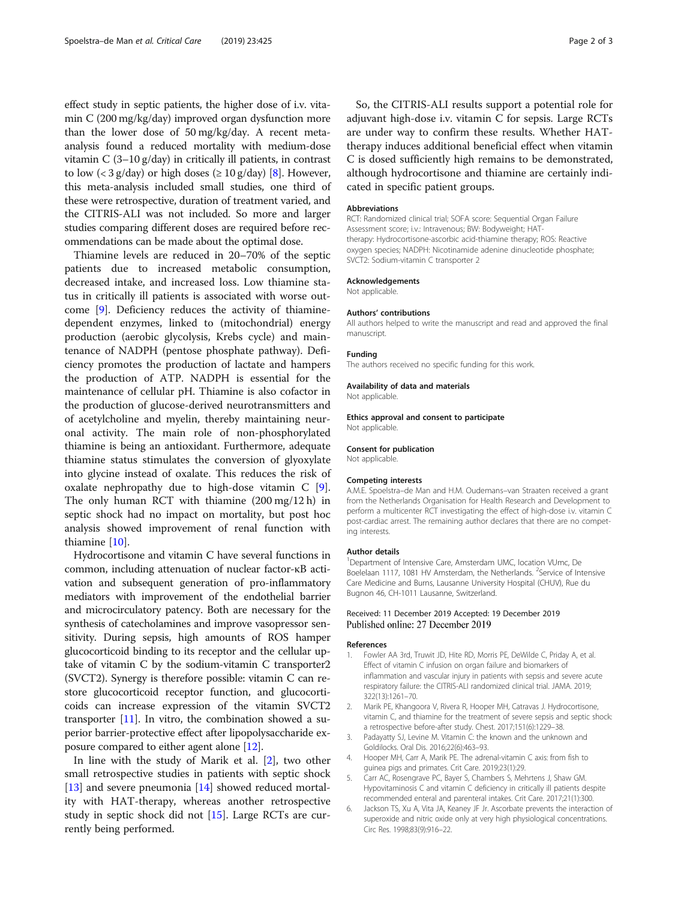<span id="page-1-0"></span>effect study in septic patients, the higher dose of i.v. vitamin C (200 mg/kg/day) improved organ dysfunction more than the lower dose of 50 mg/kg/day. A recent metaanalysis found a reduced mortality with medium-dose vitamin C (3–10 g/day) in critically ill patients, in contrast to low (< 3 g/day) or high doses ( $\geq 10$  g/day) [[8](#page-2-0)]. However, this meta-analysis included small studies, one third of these were retrospective, duration of treatment varied, and the CITRIS-ALI was not included. So more and larger studies comparing different doses are required before recommendations can be made about the optimal dose.

Thiamine levels are reduced in 20–70% of the septic patients due to increased metabolic consumption, decreased intake, and increased loss. Low thiamine status in critically ill patients is associated with worse outcome [[9\]](#page-2-0). Deficiency reduces the activity of thiaminedependent enzymes, linked to (mitochondrial) energy production (aerobic glycolysis, Krebs cycle) and maintenance of NADPH (pentose phosphate pathway). Deficiency promotes the production of lactate and hampers the production of ATP. NADPH is essential for the maintenance of cellular pH. Thiamine is also cofactor in the production of glucose-derived neurotransmitters and of acetylcholine and myelin, thereby maintaining neuronal activity. The main role of non-phosphorylated thiamine is being an antioxidant. Furthermore, adequate thiamine status stimulates the conversion of glyoxylate into glycine instead of oxalate. This reduces the risk of oxalate nephropathy due to high-dose vitamin C [\[9](#page-2-0)]. The only human RCT with thiamine (200 mg/12 h) in septic shock had no impact on mortality, but post hoc analysis showed improvement of renal function with thiamine [[10\]](#page-2-0).

Hydrocortisone and vitamin C have several functions in common, including attenuation of nuclear factor-κB activation and subsequent generation of pro-inflammatory mediators with improvement of the endothelial barrier and microcirculatory patency. Both are necessary for the synthesis of catecholamines and improve vasopressor sensitivity. During sepsis, high amounts of ROS hamper glucocorticoid binding to its receptor and the cellular uptake of vitamin C by the sodium-vitamin C transporter2 (SVCT2). Synergy is therefore possible: vitamin C can restore glucocorticoid receptor function, and glucocorticoids can increase expression of the vitamin SVCT2 transporter  $[11]$  $[11]$  $[11]$ . In vitro, the combination showed a superior barrier-protective effect after lipopolysaccharide exposure compared to either agent alone [[12](#page-2-0)].

In line with the study of Marik et al. [2], two other small retrospective studies in patients with septic shock [[13\]](#page-2-0) and severe pneumonia [\[14](#page-2-0)] showed reduced mortality with HAT-therapy, whereas another retrospective study in septic shock did not [\[15](#page-2-0)]. Large RCTs are currently being performed.

So, the CITRIS-ALI results support a potential role for adjuvant high-dose i.v. vitamin C for sepsis. Large RCTs are under way to confirm these results. Whether HATtherapy induces additional beneficial effect when vitamin C is dosed sufficiently high remains to be demonstrated, although hydrocortisone and thiamine are certainly indicated in specific patient groups.

#### Abbreviations

RCT: Randomized clinical trial; SOFA score: Sequential Organ Failure Assessment score; i.v.: Intravenous; BW: Bodyweight; HATtherapy: Hydrocortisone-ascorbic acid-thiamine therapy; ROS: Reactive oxygen species; NADPH: Nicotinamide adenine dinucleotide phosphate; SVCT2: Sodium-vitamin C transporter 2

#### Acknowledgements

Not applicable.

#### Authors' contributions

All authors helped to write the manuscript and read and approved the final manuscript.

#### Funding

The authors received no specific funding for this work.

#### Availability of data and materials

Not applicable.

#### Ethics approval and consent to participate Not applicable.

Consent for publication

Not applicable.

#### Competing interests

A.M.E. Spoelstra–de Man and H.M. Oudemans–van Straaten received a grant from the Netherlands Organisation for Health Research and Development to perform a multicenter RCT investigating the effect of high-dose i.v. vitamin C post-cardiac arrest. The remaining author declares that there are no competing interests.

#### Author details

<sup>1</sup>Department of Intensive Care, Amsterdam UMC, location VUmc, De Boelelaan 1117, 1081 HV Amsterdam, the Netherlands. <sup>2</sup>Service of Intensive Care Medicine and Burns, Lausanne University Hospital (CHUV), Rue du Bugnon 46, CH-1011 Lausanne, Switzerland.

### Received: 11 December 2019 Accepted: 19 December 2019 Published online: 27 December 2019

#### References

- 1. Fowler AA 3rd, Truwit JD, Hite RD, Morris PE, DeWilde C, Priday A, et al. Effect of vitamin C infusion on organ failure and biomarkers of inflammation and vascular injury in patients with sepsis and severe acute respiratory failure: the CITRIS-ALI randomized clinical trial. JAMA. 2019; 322(13):1261–70.
- 2. Marik PE, Khangoora V, Rivera R, Hooper MH, Catravas J. Hydrocortisone, vitamin C, and thiamine for the treatment of severe sepsis and septic shock: a retrospective before-after study. Chest. 2017;151(6):1229–38.
- 3. Padayatty SJ, Levine M. Vitamin C: the known and the unknown and Goldilocks. Oral Dis. 2016;22(6):463–93.
- 4. Hooper MH, Carr A, Marik PE. The adrenal-vitamin C axis: from fish to guinea pigs and primates. Crit Care. 2019;23(1):29.
- 5. Carr AC, Rosengrave PC, Bayer S, Chambers S, Mehrtens J, Shaw GM. Hypovitaminosis C and vitamin C deficiency in critically ill patients despite recommended enteral and parenteral intakes. Crit Care. 2017;21(1):300.
- 6. Jackson TS, Xu A, Vita JA, Keaney JF Jr. Ascorbate prevents the interaction of superoxide and nitric oxide only at very high physiological concentrations. Circ Res. 1998;83(9):916–22.